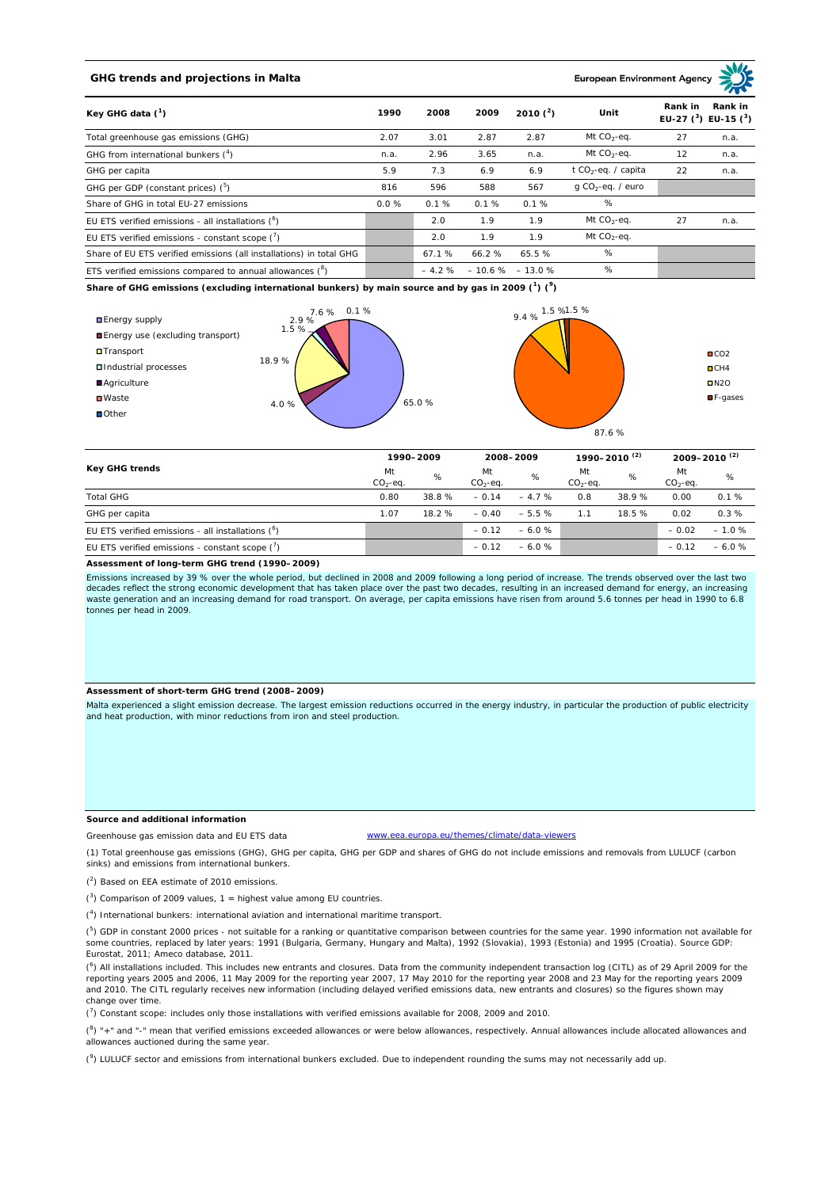## **GHG trends and projections in Malta**

### **European Environment Ag**

| Key GHG data $(^1)$                                                 | 1990     | 2008  | 2009                     | 2010 $(^{2})$ | Unit                            | Rank in | Rank in<br>EU-27 $(^3)$ EU-15 $(^3)$ |
|---------------------------------------------------------------------|----------|-------|--------------------------|---------------|---------------------------------|---------|--------------------------------------|
| Total greenhouse gas emissions (GHG)                                | 2.07     | 3.01  | 2.87                     | 2.87          | Mt $CO2$ -eq.                   | 27      | n.a.                                 |
| GHG from international bunkers $(^4)$                               | n.a.     | 2.96  | 3.65                     | n.a.          | Mt $CO_2$ -eq.                  | 12      | n.a.                                 |
| GHG per capita                                                      | 5.9      | 7.3   | 6.9                      | 6.9           | t CO <sub>2</sub> -eq. / capita | 22      | n.a.                                 |
| GHG per GDP (constant prices) $(^5)$                                | 816      | 596   | 588                      | 567           | $q$ CO <sub>2</sub> -eq. / euro |         |                                      |
| Share of GHG in total EU-27 emissions                               | $0.0 \%$ | 0.1%  | 0.1%                     | 0.1%          | %                               |         |                                      |
| EU ETS verified emissions - all installations ( <sup>o</sup> )      |          | 2.0   | 1.9                      | 1.9           | Mt $CO_2$ -eq.                  | 27      | n.a.                                 |
| EU ETS verified emissions - constant scope $(7)$                    |          | 2.0   | 1.9                      | 1.9           | Mt $CO_2$ -eq.                  |         |                                      |
| Share of EU ETS verified emissions (all installations) in total GHG |          | 67.1% | 66.2%                    | 65.5%         | %                               |         |                                      |
| ETS verified emissions compared to annual allowances $(^8)$         |          |       | $-4.2\% -10.6\% -13.0\%$ |               | %                               |         |                                      |

**Share of GHG emissions (excluding international bunkers) by main source and by gas in 2009 (<sup>1</sup> ) (<sup>9</sup> )**



| Key GHG trends                                      |                 | 1990-2009 |                 | 2008-2009 |                 | 1990-2010 <sup>(2)</sup> |                 | 2009-2010 <sup>(2)</sup> |  |
|-----------------------------------------------------|-----------------|-----------|-----------------|-----------|-----------------|--------------------------|-----------------|--------------------------|--|
|                                                     | Mt<br>$CO2-eq.$ | %         | Mt<br>$CO2-eq.$ | %         | Mt<br>$CO2-eq.$ | %                        | Mt<br>$CO2-eq.$ | %                        |  |
| <b>Total GHG</b>                                    | 0.80            | 38.8%     | $-0.14$         | $-4.7%$   | 0.8             | 38.9%                    | 0.00            | 0.1%                     |  |
| GHG per capita                                      | 1.07            | 18.2%     | $-0.40$         | $-5.5%$   | 1.1             | 18.5%                    | 0.02            | 0.3%                     |  |
| EU ETS verified emissions - all installations $(°)$ |                 |           | $-0.12$         | $-6.0%$   |                 |                          | $-0.02$         | $-1.0%$                  |  |
| EU ETS verified emissions - constant scope (')      |                 |           | $-0.12$         | $-6.0%$   |                 |                          | $-0.12$         | $-6.0%$                  |  |

#### **Assessment of long-term GHG trend (1990–2009)**

Emissions increased by 39 % over the whole period, but declined in 2008 and 2009 following a long period of increase. The trends observed over the last two decades reflect the strong economic development that has taken place over the past two decades, resulting in an increased demand for energy, an increasing waste generation and an increasing demand for road transport. On average, per capita emissions have risen from around 5.6 tonnes per head in 1990 to 6.8 tonnes per head in 2009.

#### **Assessment of short-term GHG trend (2008–2009)**

Malta experienced a slight emission decrease. The largest emission reductions occurred in the energy industry, in particular the production of public electricity and heat production, with minor reductions from iron and steel production.

#### **Source and additional information**

Greenhouse gas emission data and EU ETS data www.eea.europa.eu/themes/climate/data-viewers

(1) Total greenhouse gas emissions (GHG), GHG per capita, GHG per GDP and shares of GHG do not include emissions and removals from LULUCF (carbon sinks) and emissions from international bunkers.

( 2 ) Based on EEA estimate of 2010 emissions.

 $(3)$  Comparison of 2009 values, 1 = highest value among EU countries.

( 4 ) International bunkers: international aviation and international maritime transport.

 $(^{5})$  GDP in constant 2000 prices - not suitable for a ranking or quantitative comparison between countries for the same year. 1990 information not available for some countries, replaced by later years: 1991 (Bulgaria, Germany, Hungary and Malta), 1992 (Slovakia), 1993 (Estonia) and 1995 (Croatia). Source GDP: Eurostat, 2011; Ameco database, 2011.

(<sup>6</sup>) All installations included. This includes new entrants and closures. Data from the community independent transaction log (CITL) as of 29 April 2009 for the<br>reporting years 2005 and 2006, 11 May 2009 for the reporting and 2010. The CITL regularly receives new information (including delayed verified emissions data, new entrants and closures) so the figures shown may change over time.

 $\binom{7}{1}$  Constant scope: includes only those installations with verified emissions available for 2008, 2009 and 2010.

 $(^{8}$ ) " $+$ " and "-" mean that verified emissions exceeded allowances or were below allowances, respectively. Annual allowances include allocated allowances and allowances auctioned during the same year.

 $(2)$  LULUCF sector and emissions from international bunkers excluded. Due to independent rounding the sums may not necessarily add up.